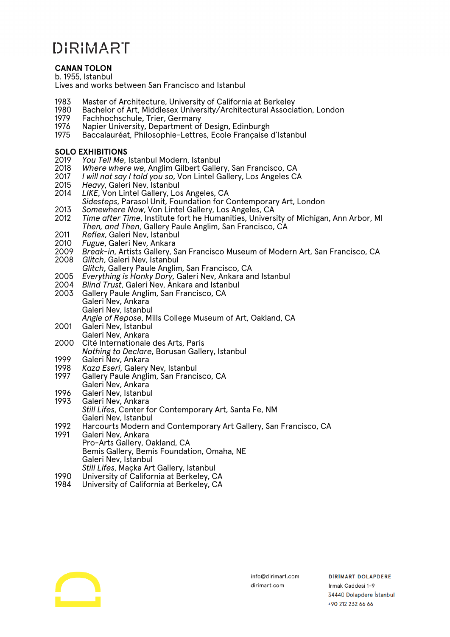# DIRIMART

#### **CANAN TOLON**

b. 1955, Istanbul

Lives and works between San Francisco and Istanbul

- 1983 Master of Architecture, University of California at Berkeley
- 1980 Bachelor of Art, Middlesex University/Architectural Association, London
- 1979 Fachhochschule, Trier, Germany<br>1976 Napier University, Department of
- 1976 Napier University, Department of Design, Edinburgh<br>1975 Baccalauréat, Philosophie-Lettres, Ecole Francaise
- Baccalauréat, Philosophie-Lettres, Ecole Française d'Istanbul

### **SOLO EXHIBITIONS**<br>2019 *You Tell Me.*

- 2019 *You Tell Me*, Istanbul Modern, Istanbul
- 2018 *Where where we*, Anglim Gilbert Gallery, San Francisco, CA
- 2017 *I will not say I told you so*, Von Lintel Gallery, Los Angeles CA
- 2015 *Heavy*, Galeri Nev, Istanbul
- LIKE, Von Lintel Gallery, Los Angeles, CA *Sidesteps*, Parasol Unit, Foundation for Contemporary Art, London
- 2013 *Somewhere Now*, Von Lintel Gallery, Los Angeles, CA
- *Time after Time, Institute fort he Humanities, University of Michigan, Ann Arbor, MI Then, and Then*, Gallery Paule Anglim, San Francisco, CA
- 2011 *Reflex*, Galeri Nev, Istanbul
- 2010 *Fugue*, Galeri Nev, Ankara
- 2009 *Break-in*, Artists Gallery, San Francisco Museum of Modern Art, San Francisco, CA **Glitch, Galeri Nev, Istanbul**
- *Glitch*, Gallery Paule Anglim, San Francisco, CA
- 2005 *Everything is Honky Dory*, Galeri Nev, Ankara and Istanbul
- 2004 *Blind Trust*, Galeri Nev, Ankara and Istanbul
- Gallery Paule Anglim, San Francisco, CA Galeri Nev, Ankara Galeri Nev, Istanbul *Angle of Repose*, Mills College Museum of Art, Oakland, CA
- 2001 Galeri Nev, Istanbul Galeri Nev, Ankara
- 2000 Cité Internationale des Arts, Paris
- *Nothing to Declare*, Borusan Gallery, Istanbul
- 1999 Galeri Ñev, Ankara<br>1998 *Kaza Eseri,* Galery
- 1998 *Kaza Eseri*, Galery Nev, Istanbul Gallery Paule Anglim, San Francisco, CA Galeri Nev, Ankara
- 
- 1996 Galeri Nev, Istanbul<br>1993 Galeri Nev, Ankara Galeri Nev, Ankara *Still Lifes*, Center for Contemporary Art, Santa Fe, NM Galeri Nev, Istanbul
- 1992 Harcourts Modern and Contemporary Art Gallery, San Francisco, CA<br>1991 Galeri Nev, Ankara Galeri Nev, Ankara Pro-Arts Gallery, Oakland, CA
	- Bemis Gallery, Bemis Foundation, Omaha, NE Galeri Nev, Istanbul *Still Lifes*, Maçka Art Gallery, Istanbul
- 
- 1990 University of California at Berkeley, CA University of California at Berkeley, CA

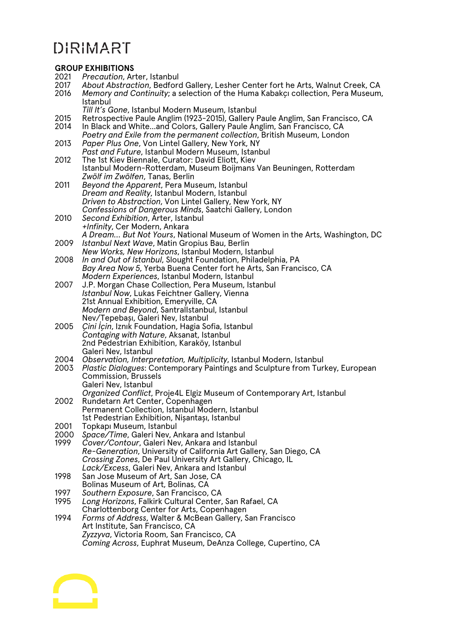## DIRIMART

### **GROUP EXHIBITIONS**<br>2021 *Precaution* Ar

- 2021 *Precaution*, Arter, Istanbul
- 2017 *About Abstraction*, Bedford Gallery, Lesher Center fort he Arts, Walnut Creek, CA
- Memory and Continuity; a selection of the Huma Kabakçı collection, Pera Museum, Istanbul
	- *Till It's Gone*, Istanbul Modern Museum, Istanbul
- 2015 Retrospective Paule Anglim (1923-2015), Gallery Paule Anglim, San Francisco, CA
- In Black and White...and Colors, Gallery Paule Anglim, San Francisco, CA
- *Poetry and Exile from the permanent collection*, British Museum, London 2013 *Paper Plus One*, Von Lintel Gallery, New York, NY
- *Past and Future*, Istanbul Modern Museum, Istanbul
- 2012 The 1st Kiev Biennale, Curator: David Eliott, Kiev Istanbul Modern-Rotterdam, Museum Boijmans Van Beuningen, Rotterdam *Zwölf im Zwölfen*, Tanas, Berlin
- 2011 *Beyond the Apparent*, Pera Museum, Istanbul *Dream and Reality*, Istanbul Modern, Istanbul *Driven to Abstraction*, Von Lintel Gallery, New York, NY *Confessions of Dangerous Minds*, Saatchi Gallery, London
- 2010 *Second Exhibition*, Arter, Istanbul *+Infinity*, Cer Modern, Ankara *A Dream… But Not Yours*, National Museum of Women in the Arts, Washington, DC
- 2009 *Istanbul Next Wave*, Matin Gropius Bau, Berlin
- *New Works, New Horizons*, Istanbul Modern, Istanbul 2008 *In and Out of Istanbul*, Slought Foundation, Philadelphia, PA *Bay Area Now 5*, Yerba Buena Center fort he Arts, San Francisco, CA
- *Modern Experiences*, Istanbul Modern, Istanbul 2007 J.P. Morgan Chase Collection, Pera Museum, Istanbul *Istanbul Now*, Lukas Feichtner Gallery, Vienna 21st Annual Exhibition, Emeryville, CA *Modern and Beyond*, SantralIstanbul, Istanbul Nev/Tepebaşı, Galeri Nev, Istanbul
- 2005 *Çini İçin*, Iznık Foundation, Hagia Sofia, Istanbul *Contaging with Nature*, Aksanat, Istanbul 2nd Pedestrian Exhibition, Karaköy, Istanbul Galeri Nev, Istanbul
- 2004 *Observation, Interpretation, Multiplicity*, Istanbul Modern, Istanbul
- 2003 *Plastic Dialogues*: Contemporary Paintings and Sculpture from Turkey, European Commission, Brussels Galeri Nev, Istanbul *Organized Conflict*, Proje4L Elgiz Museum of Contemporary Art, Istanbul
- 2002 Rundetarn Art Center, Copenhagen Permanent Collection, Istanbul Modern, Istanbul 1st Pedestrian Exhibition, Nişantaşı, Istanbul
- 2001 Topkapı Museum, Istanbul<br>2000 Space/Time, Galeri Nev, A
- 2000 *Space/Time*, Galeri Nev, Ankara and Istanbul Cover/Contour, Galeri Nev, Ankara and Istanbul *Re-Generation*, University of California Art Gallery, San Diego, CA *Crossing Zones*, De Paul University Art Gallery, Chicago, IL *Lack/Excess*, Galeri Nev, Ankara and Istanbul
- 1998 San Jose Museum of Art, San Jose, CA Bolinas Museum of Art, Bolinas, CA
- 
- 1997 *Southern Exposure*, San Francisco, CA 1995 *Long Horizons*, Falkirk Cultural Center, San Rafael, CA Charlottenborg Center for Arts, Copenhagen
- 1994 *Forms of Address*, Walter & McBean Gallery, San Francisco Art Institute, San Francisco, CA *Zyzzyva*, Victoria Room, San Francisco, CA *Coming Across*, Euphrat Museum, DeAnza College, Cupertino, CA